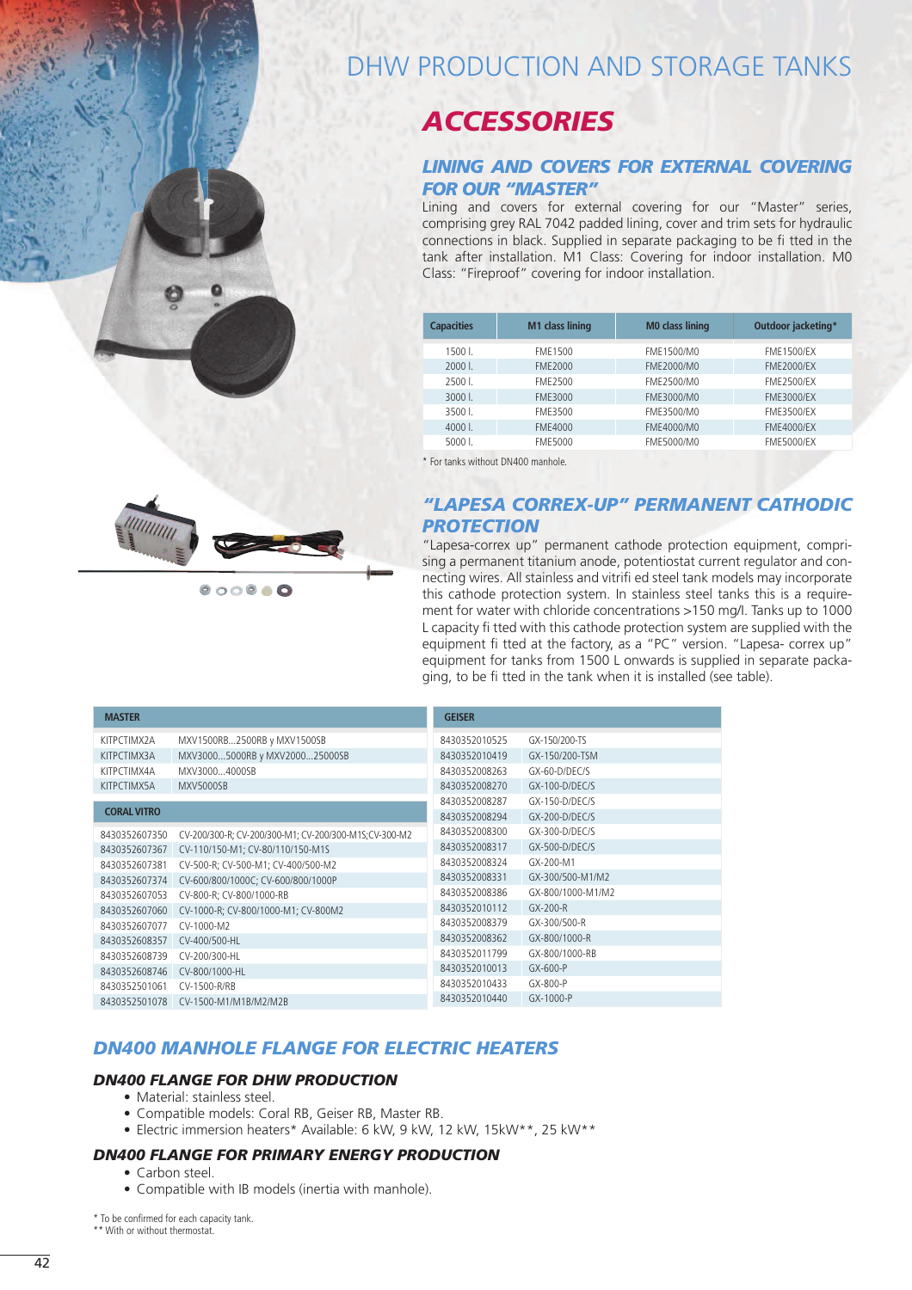# DHW PRODUCTION AND STORAGE TANKS

## *ACCESSORIES*

#### *LINING AND COVERS FOR EXTERNAL COVERING FOR OUR "MASTER"*

Lining and covers for external covering for our "Master" series, comprising grey RAL 7042 padded lining, cover and trim sets for hydraulic connections in black. Supplied in separate packaging to be fi tted in the tank after installation. M1 Class: Covering for indoor installation. M0 Class: "Fireproof" covering for indoor installation.

| <b>Capacities</b> | <b>M1 class lining</b> | <b>MO class lining</b> | Outdoor jacketing* |
|-------------------|------------------------|------------------------|--------------------|
|                   |                        |                        |                    |
| 1500 L            | FME1500                | FME1500/M0             | <b>FME1500/EX</b>  |
| $20001$ .         | FME2000                | FME2000/M0             | <b>FME2000/EX</b>  |
|                   |                        |                        |                    |
| 2500 L            | FMF2500                | FME2500/M0             | <b>FMF2500/EX</b>  |
| $30001$ .         | FME3000                | FME3000/M0             | FME3000/EX         |
| 3500 L            | FME3500                | FME3500/M0             | FME3500/EX         |
| $40001$ .         | FME4000                | FME4000/M0             | <b>FME4000/EX</b>  |
|                   |                        |                        |                    |
| $50001$ .         | FME5000                | FME5000/M0             | <b>FME5000/EX</b>  |
|                   |                        |                        |                    |

\* For tanks without DN400 manhole.

### *"LAPESA CORREX-UP" PERMANENT CATHODIC PROTECTION*

"Lapesa-correx up" permanent cathode protection equipment, comprising a permanent titanium anode, potentiostat current regulator and connecting wires. All stainless and vitrifi ed steel tank models may incorporate this cathode protection system. In stainless steel tanks this is a requirement for water with chloride concentrations >150 mg/I. Tanks up to 1000 L capacity fi tted with this cathode protection system are supplied with the equipment fi tted at the factory, as a "PC" version. "Lapesa- correx up" equipment for tanks from 1500 L onwards is supplied in separate packaging, to be fi tted in the tank when it is installed (see table).

| MXV1500RB2500RB y MXV1500SB<br>8430352010525<br>GX-150/200-TS<br>KITPCTIMX2A<br>MXV30005000RB y MXV200025000SB<br>GX-150/200-TSM<br>KITPCTIMX3A<br>8430352010419<br>MXV30004000SB<br>GX-60-D/DEC/S<br>KITPCTIMX4A<br>8430352008263<br>KITPCTIMX5A<br><b>MXV5000SB</b><br>8430352008270<br>$GX-100-D/DEC/S$<br>8430352008287<br>GX-150-D/DEC/S<br><b>CORAL VITRO</b><br>8430352008294<br>GX-200-D/DEC/S | <b>MASTER</b> | <b>GEISER</b> |  |
|--------------------------------------------------------------------------------------------------------------------------------------------------------------------------------------------------------------------------------------------------------------------------------------------------------------------------------------------------------------------------------------------------------|---------------|---------------|--|
|                                                                                                                                                                                                                                                                                                                                                                                                        |               |               |  |
|                                                                                                                                                                                                                                                                                                                                                                                                        |               |               |  |
|                                                                                                                                                                                                                                                                                                                                                                                                        |               |               |  |
|                                                                                                                                                                                                                                                                                                                                                                                                        |               |               |  |
|                                                                                                                                                                                                                                                                                                                                                                                                        |               |               |  |
|                                                                                                                                                                                                                                                                                                                                                                                                        |               |               |  |
| 8430352008300<br>GX-300-D/DEC/S<br>CV-200/300-R; CV-200/300-M1; CV-200/300-M1S; CV-300-M2<br>8430352607350                                                                                                                                                                                                                                                                                             |               |               |  |
| $GX-500-D/DEC/S$<br>8430352008317<br>8430352607367<br>CV-110/150-M1; CV-80/110/150-M1S                                                                                                                                                                                                                                                                                                                 |               |               |  |
| 8430352008324<br>GX-200-M1<br>8430352607381<br>CV-500-R; CV-500-M1; CV-400/500-M2                                                                                                                                                                                                                                                                                                                      |               |               |  |
| 8430352008331<br>GX-300/500-M1/M2<br>8430352607374<br>CV-600/800/1000C; CV-600/800/1000P                                                                                                                                                                                                                                                                                                               |               |               |  |
| 8430352008386<br>GX-800/1000-M1/M2<br>8430352607053<br>CV-800-R; CV-800/1000-RB                                                                                                                                                                                                                                                                                                                        |               |               |  |
| 8430352010112<br>GX-200-R<br>8430352607060<br>CV-1000-R; CV-800/1000-M1; CV-800M2                                                                                                                                                                                                                                                                                                                      |               |               |  |
| 8430352008379<br>GX-300/500-R<br>8430352607077<br>$CV-1000-M2$                                                                                                                                                                                                                                                                                                                                         |               |               |  |
| 8430352008362<br>GX-800/1000-R<br>8430352608357<br>CV-400/500-HL                                                                                                                                                                                                                                                                                                                                       |               |               |  |
| 8430352011799<br>GX-800/1000-RB<br>8430352608739<br>CV-200/300-HL                                                                                                                                                                                                                                                                                                                                      |               |               |  |
| 8430352010013<br>GX-600-P<br>8430352608746<br>CV-800/1000-HL                                                                                                                                                                                                                                                                                                                                           |               |               |  |
| 8430352010433<br>GX-800-P<br>8430352501061<br>CV-1500-R/RB                                                                                                                                                                                                                                                                                                                                             |               |               |  |
| 8430352010440<br>GX-1000-P<br>8430352501078<br>CV-1500-M1/M1B/M2/M2B                                                                                                                                                                                                                                                                                                                                   |               |               |  |

## *DN400 MANHOLE FLANGE FOR ELECTRIC HEATERS*

#### *DN400 FLANGE FOR DHW PRODUCTION*

- Material: stainless steel.
- Compatible models: Coral RB, Geiser RB, Master RB.
- Electric immersion heaters\* Available: 6 kW, 9 kW, 12 kW, 15kW\*\*, 25 kW\*\*

#### *DN400 FLANGE FOR PRIMARY ENERGY PRODUCTION*

- Carbon steel
	- Compatible with IB models (inertia with manhole).

\* To be confirmed for each capacity tank. \*\* With or without thermostat.



 $000000$